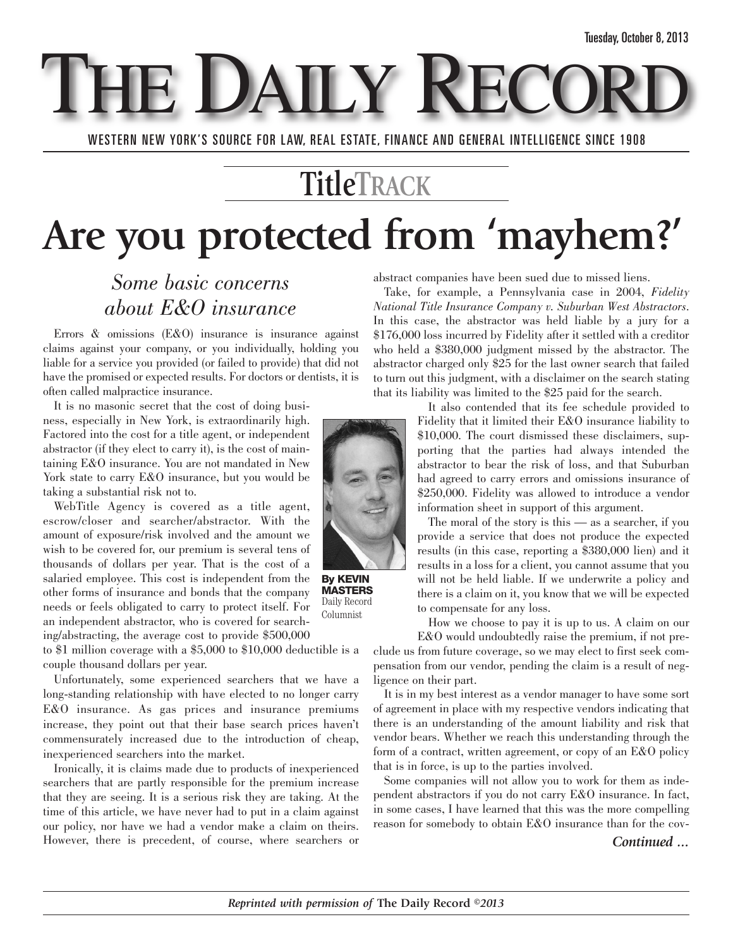**THE DAILY REC** 

WESTERN NEW YORK'S SOURCE FOR LAW, REAL ESTATE, FINANCE AND GENERAL INTELLIGENCE SINCE 1908

### **TitleTRACK**

## **Are you protected from 'mayhem?'**

#### *Some basic concerns about E&O insurance*

Errors & omissions (E&O) insurance is insurance against claims against your company, or you individually, holding you liable for a service you provided (or failed to provide) that did not have the promised or expected results. For doctors or dentists, it is often called malpractice insurance.

It is no masonic secret that the cost of doing business, especially in New York, is extraordinarily high. Factored into the cost for a title agent, or independent abstractor (if they elect to carry it), is the cost of maintaining E&O insurance. You are not mandated in New York state to carry E&O insurance, but you would be taking a substantial risk not to.

WebTitle Agency is covered as a title agent, escrow/closer and searcher/abstractor. With the amount of exposure/risk involved and the amount we wish to be covered for, our premium is several tens of thousands of dollars per year. That is the cost of a salaried employee. This cost is independent from the other forms of insurance and bonds that the company needs or feels obligated to carry to protect itself. For an independent abstractor, who is covered for searching/abstracting, the average cost to provide \$500,000

to \$1 million coverage with a \$5,000 to \$10,000 deductible is a couple thousand dollars per year.

Unfortunately, some experienced searchers that we have a long-standing relationship with have elected to no longer carry E&O insurance. As gas prices and insurance premiums increase, they point out that their base search prices haven't commensurately increased due to the introduction of cheap, inexperienced searchers into the market.

Ironically, it is claims made due to products of inexperienced searchers that are partly responsible for the premium increase that they are seeing. It is a serious risk they are taking. At the time of this article, we have never had to put in a claim against our policy, nor have we had a vendor make a claim on theirs. However, there is precedent, of course, where searchers or abstract companies have been sued due to missed liens.

Take, for example, a Pennsylvania case in 2004, *Fidelity National Title Insurance Company v. Suburban West Abstractors*. In this case, the abstractor was held liable by a jury for a \$176,000 loss incurred by Fidelity after it settled with a creditor who held a \$380,000 judgment missed by the abstractor. The abstractor charged only \$25 for the last owner search that failed to turn out this judgment, with a disclaimer on the search stating that its liability was limited to the \$25 paid for the search.

It also contended that its fee schedule provided to Fidelity that it limited their E&O insurance liability to \$10,000. The court dismissed these disclaimers, supporting that the parties had always intended the abstractor to bear the risk of loss, and that Suburban had agreed to carry errors and omissions insurance of \$250,000. Fidelity was allowed to introduce a vendor information sheet in support of this argument.

The moral of the story is this — as a searcher, if you provide a service that does not produce the expected results (in this case, reporting a \$380,000 lien) and it results in a loss for a client, you cannot assume that you will not be held liable. If we underwrite a policy and there is a claim on it, you know that we will be expected to compensate for any loss.

How we choose to pay it is up to us. A claim on our

E&O would undoubtedly raise the premium, if not preclude us from future coverage, so we may elect to first seek compensation from our vendor, pending the claim is a result of negligence on their part.

It is in my best interest as a vendor manager to have some sort of agreement in place with my respective vendors indicating that there is an understanding of the amount liability and risk that vendor bears. Whether we reach this understanding through the form of a contract, written agreement, or copy of an E&O policy that is in force, is up to the parties involved.

Some companies will not allow you to work for them as independent abstractors if you do not carry E&O insurance. In fact, in some cases, I have learned that this was the more compelling reason for somebody to obtain E&O insurance than for the cov-

#### *Continued ...*



**By KEVIN MASTERS** Daily Record Columnist